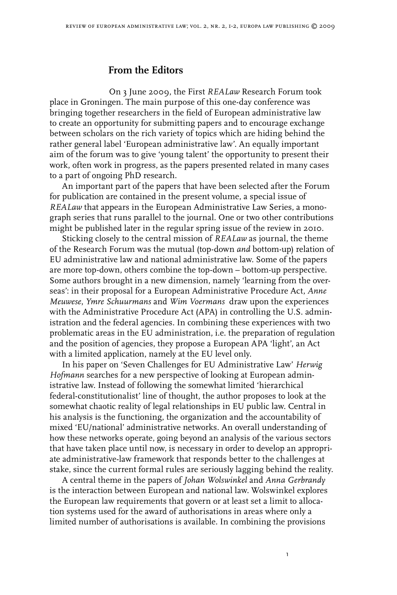## **From the Editors**

On 3 June 2009, the First *REALaw* Research Forum took place in Groningen. The main purpose of this one-day conference was bringing together researchers in the field of European administrative law to create an opportunity for submitting papers and to encourage exchange between scholars on the rich variety of topics which are hiding behind the rather general label 'European administrative law'. An equally important aim of the forum was to give 'young talent' the opportunity to present their work, often work in progress, as the papers presented related in many cases to a part of ongoing PhD research.

An important part of the papers that have been selected after the Forum for publication are contained in the present volume, a special issue of *REALaw* that appears in the European Administrative Law Series, a monograph series that runs parallel to the journal. One or two other contributions might be published later in the regular spring issue of the review in 2010.

Sticking closely to the central mission of *REALaw* as journal, the theme of the Research Forum was the mutual (top-down *and* bottom-up) relation of EU administrative law and national administrative law. Some of the papers are more top-down, others combine the top-down – bottom-up perspective. Some authors brought in a new dimension, namely 'learning from the overseas': in their proposal for a European Administrative Procedure Act, *Anne Meuwese*, *Ymre Schuurmans* and *Wim Voermans* draw upon the experiences with the Administrative Procedure Act (APA) in controlling the U.S. administration and the federal agencies. In combining these experiences with two problematic areas in the EU administration, i.e. the preparation of regulation and the position of agencies, they propose a European APA 'light', an Act with a limited application, namely at the EU level only.

In his paper on 'Seven Challenges for EU Administrative Law' *Herwig Hofmann* searches for a new perspective of looking at European administrative law. Instead of following the somewhat limited 'hierarchical federal-constitutionalist' line of thought, the author proposes to look at the somewhat chaotic reality of legal relationships in EU public law. Central in his analysis is the functioning, the organization and the accountability of mixed 'EU/national' administrative networks. An overall understanding of how these networks operate, going beyond an analysis of the various sectors that have taken place until now, is necessary in order to develop an appropriate administrative-law framework that responds better to the challenges at stake, since the current formal rules are seriously lagging behind the reality.

A central theme in the papers of *Johan Wolswinkel* and *Anna Gerbrandy* is the interaction between European and national law*.* Wolswinkel explores the European law requirements that govern or at least set a limit to allocation systems used for the award of authorisations in areas where only a limited number of authorisations is available. In combining the provisions

 $\mathbf{I}$